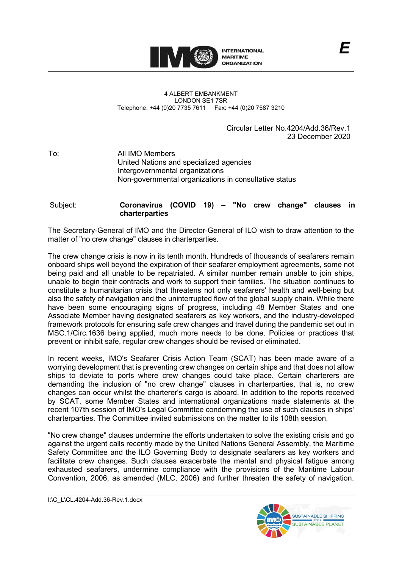

4 ALBERT EMBANKMENT LONDON SE1 7SR Telephone: +44 (0)20 7735 7611 Fax: +44 (0)20 7587 3210

> Circular Letter No.4204/Add.36/Rev.1 23 December 2020

To: All IMO Members United Nations and specialized agencies Intergovernmental organizations Non-governmental organizations in consultative status

## Subject: **Coronavirus (COVID 19) – ʺNo crew changeʺ clauses in charterparties**

The Secretary-General of IMO and the Director-General of ILO wish to draw attention to the matter of "no crew change" clauses in charterparties.

The crew change crisis is now in its tenth month. Hundreds of thousands of seafarers remain onboard ships well beyond the expiration of their seafarer employment agreements, some not being paid and all unable to be repatriated. A similar number remain unable to join ships, unable to begin their contracts and work to support their families. The situation continues to constitute a humanitarian crisis that threatens not only seafarersʹ health and well-being but also the safety of navigation and the uninterrupted flow of the global supply chain. While there have been some encouraging signs of progress, including 48 Member States and one Associate Member having designated seafarers as key workers, and the industry-developed framework protocols for ensuring safe crew changes and travel during the pandemic set out in MSC.1/Circ.1636 being applied, much more needs to be done. Policies or practices that prevent or inhibit safe, regular crew changes should be revised or eliminated.

In recent weeks, IMOʹs Seafarer Crisis Action Team (SCAT) has been made aware of a worrying development that is preventing crew changes on certain ships and that does not allow ships to deviate to ports where crew changes could take place. Certain charterers are demanding the inclusion of "no crew change" clauses in charterparties, that is, no crew changes can occur whilst the chartererʹs cargo is aboard. In addition to the reports received by SCAT, some Member States and international organizations made statements at the recent 107th session of IMOʹs Legal Committee condemning the use of such clauses in shipsʹ charterparties. The Committee invited submissions on the matter to its 108th session.

ʺNo crew changeʺ clauses undermine the efforts undertaken to solve the existing crisis and go against the urgent calls recently made by the United Nations General Assembly, the Maritime Safety Committee and the ILO Governing Body to designate seafarers as key workers and facilitate crew changes. Such clauses exacerbate the mental and physical fatigue among exhausted seafarers, undermine compliance with the provisions of the Maritime Labour Convention, 2006, as amended (MLC, 2006) and further threaten the safety of navigation.